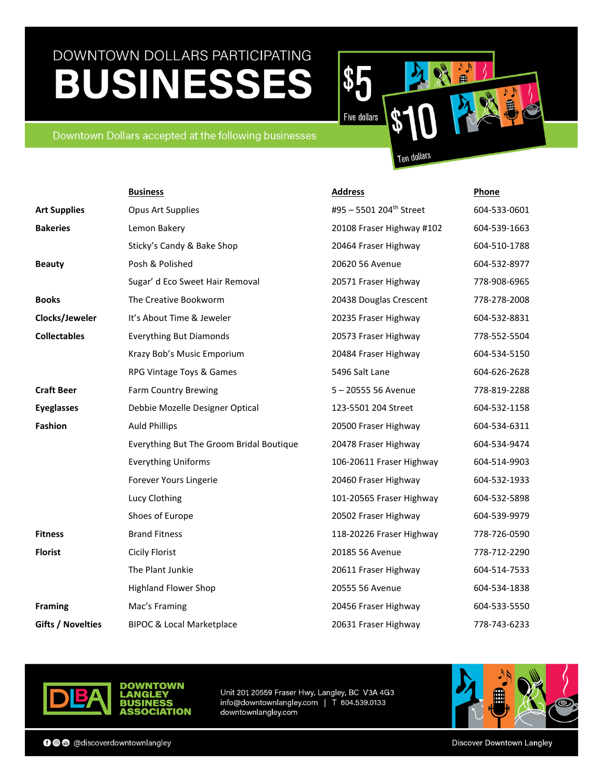\$  $\blacksquare$ **Five dollars** 

### Downtown Dollars accepted at the following businesses

Ten dollars

|                          | <b>Business</b>                          | <b>Address</b>                      | Phone        |
|--------------------------|------------------------------------------|-------------------------------------|--------------|
| <b>Art Supplies</b>      | <b>Opus Art Supplies</b>                 | #95 - 5501 204 <sup>th</sup> Street | 604-533-0601 |
| <b>Bakeries</b>          | Lemon Bakery                             | 20108 Fraser Highway #102           | 604-539-1663 |
|                          | Sticky's Candy & Bake Shop               | 20464 Fraser Highway                | 604-510-1788 |
| <b>Beauty</b>            | Posh & Polished                          | 20620 56 Avenue                     | 604-532-8977 |
|                          | Sugar' d Eco Sweet Hair Removal          | 20571 Fraser Highway                | 778-908-6965 |
| <b>Books</b>             | The Creative Bookworm                    | 20438 Douglas Crescent              | 778-278-2008 |
| Clocks/Jeweler           | It's About Time & Jeweler                | 20235 Fraser Highway                | 604-532-8831 |
| <b>Collectables</b>      | <b>Everything But Diamonds</b>           | 20573 Fraser Highway                | 778-552-5504 |
|                          | Krazy Bob's Music Emporium               | 20484 Fraser Highway                | 604-534-5150 |
|                          | RPG Vintage Toys & Games                 | 5496 Salt Lane                      | 604-626-2628 |
| <b>Craft Beer</b>        | <b>Farm Country Brewing</b>              | 5-20555 56 Avenue                   | 778-819-2288 |
| <b>Eyeglasses</b>        | Debbie Mozelle Designer Optical          | 123-5501 204 Street                 | 604-532-1158 |
| <b>Fashion</b>           | <b>Auld Phillips</b>                     | 20500 Fraser Highway                | 604-534-6311 |
|                          | Everything But The Groom Bridal Boutique | 20478 Fraser Highway                | 604-534-9474 |
|                          | <b>Everything Uniforms</b>               | 106-20611 Fraser Highway            | 604-514-9903 |
|                          | Forever Yours Lingerie                   | 20460 Fraser Highway                | 604-532-1933 |
|                          | Lucy Clothing                            | 101-20565 Fraser Highway            | 604-532-5898 |
|                          | Shoes of Europe                          | 20502 Fraser Highway                | 604-539-9979 |
| <b>Fitness</b>           | <b>Brand Fitness</b>                     | 118-20226 Fraser Highway            | 778-726-0590 |
| <b>Florist</b>           | <b>Cicily Florist</b>                    | 20185 56 Avenue                     | 778-712-2290 |
|                          | The Plant Junkie                         | 20611 Fraser Highway                | 604-514-7533 |
|                          | <b>Highland Flower Shop</b>              | 20555 56 Avenue                     | 604-534-1838 |
| <b>Framing</b>           | Mac's Framing                            | 20456 Fraser Highway                | 604-533-5550 |
| <b>Gifts / Novelties</b> | <b>BIPOC &amp; Local Marketplace</b>     | 20631 Fraser Highway                | 778-743-6233 |



**OWN DOWNT** LANGLE' RIISINFSS **SOCIATION** 

Unit 201, 20559 Fraser Hwy, Langley, BC V3A 4G3 info@downtownlangley.com | T 604.539.0133 downtownlangley.com



**OOO** @discoverdowntownlangley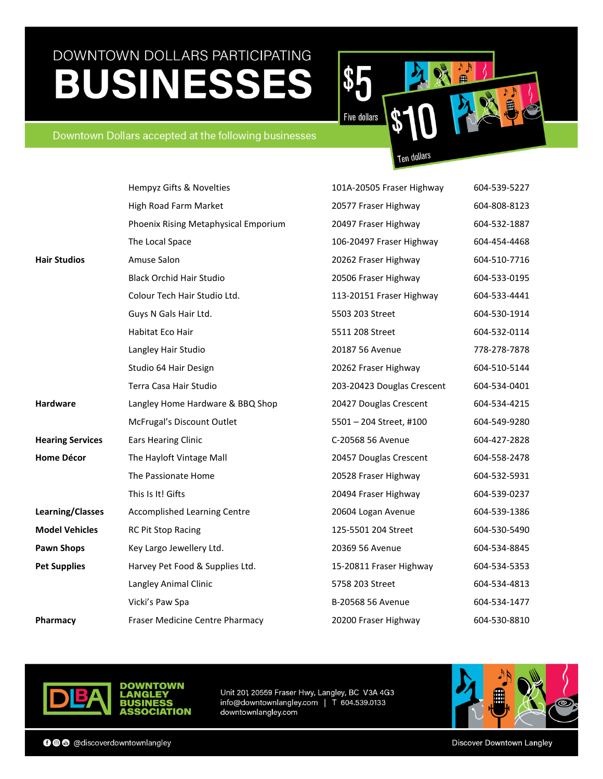$\blacksquare$ **Five dollars** 

### Downtown Dollars accepted at the following businesses

Ten dollars

\$

|                         | Hempyz Gifts & Novelties             | 101A-20505 Fraser Highway  | 604-539-5227 |
|-------------------------|--------------------------------------|----------------------------|--------------|
|                         | High Road Farm Market                | 20577 Fraser Highway       | 604-808-8123 |
|                         | Phoenix Rising Metaphysical Emporium | 20497 Fraser Highway       | 604-532-1887 |
|                         | The Local Space                      | 106-20497 Fraser Highway   | 604-454-4468 |
| <b>Hair Studios</b>     | Amuse Salon                          | 20262 Fraser Highway       | 604-510-7716 |
|                         | <b>Black Orchid Hair Studio</b>      | 20506 Fraser Highway       | 604-533-0195 |
|                         | Colour Tech Hair Studio Ltd.         | 113-20151 Fraser Highway   | 604-533-4441 |
|                         | Guys N Gals Hair Ltd.                | 5503 203 Street            | 604-530-1914 |
|                         | Habitat Eco Hair                     | 5511 208 Street            | 604-532-0114 |
|                         | Langley Hair Studio                  | 20187 56 Avenue            | 778-278-7878 |
|                         | Studio 64 Hair Design                | 20262 Fraser Highway       | 604-510-5144 |
|                         | Terra Casa Hair Studio               | 203-20423 Douglas Crescent | 604-534-0401 |
| <b>Hardware</b>         | Langley Home Hardware & BBQ Shop     | 20427 Douglas Crescent     | 604-534-4215 |
|                         | McFrugal's Discount Outlet           | 5501 - 204 Street, #100    | 604-549-9280 |
| <b>Hearing Services</b> | <b>Ears Hearing Clinic</b>           | C-20568 56 Avenue          | 604-427-2828 |
| <b>Home Décor</b>       | The Hayloft Vintage Mall             | 20457 Douglas Crescent     | 604-558-2478 |
|                         | The Passionate Home                  | 20528 Fraser Highway       | 604-532-5931 |
|                         | This Is It! Gifts                    | 20494 Fraser Highway       | 604-539-0237 |
| <b>Learning/Classes</b> | <b>Accomplished Learning Centre</b>  | 20604 Logan Avenue         | 604-539-1386 |
| <b>Model Vehicles</b>   | RC Pit Stop Racing                   | 125-5501 204 Street        | 604-530-5490 |
| <b>Pawn Shops</b>       | Key Largo Jewellery Ltd.             | 20369 56 Avenue            | 604-534-8845 |
| <b>Pet Supplies</b>     | Harvey Pet Food & Supplies Ltd.      | 15-20811 Fraser Highway    | 604-534-5353 |
|                         | Langley Animal Clinic                | 5758 203 Street            | 604-534-4813 |
|                         | Vicki's Paw Spa                      | B-20568 56 Avenue          | 604-534-1477 |
| Pharmacy                | Fraser Medicine Centre Pharmacy      | 20200 Fraser Highway       | 604-530-8810 |





Unit 201, 20559 Fraser Hwy, Langley, BC V3A 4G3 info@downtownlangley.com | T 604.539.0133 downtownlangley.com

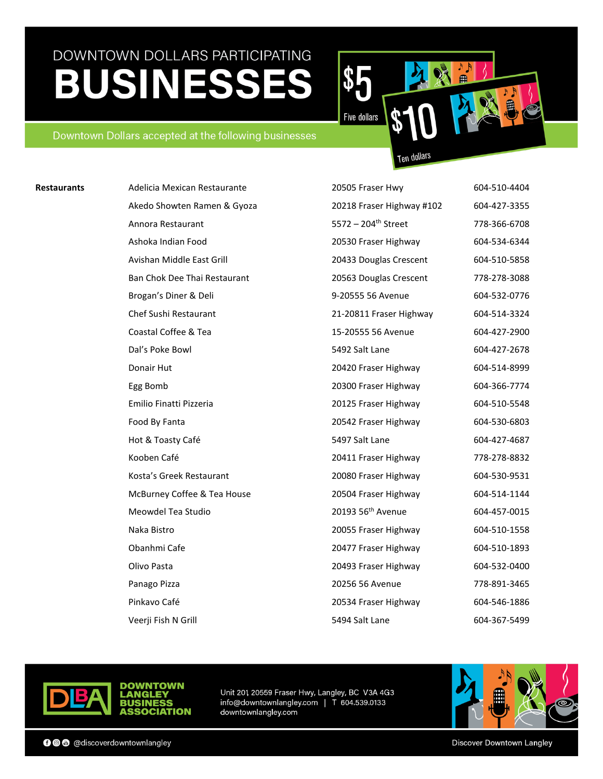以直  $\blacksquare$ **Five dollars** 

### Downtown Dollars accepted at the following businesses

**Ten dollars** 

| Adelicia Mexican Restaurante | 20505 Fraser Hwy                | 604-510-4404 |
|------------------------------|---------------------------------|--------------|
| Akedo Showten Ramen & Gyoza  | 20218 Fraser Highway #102       | 604-427-3355 |
| Annora Restaurant            | 5572 - 204 <sup>th</sup> Street | 778-366-6708 |
| Ashoka Indian Food           | 20530 Fraser Highway            | 604-534-6344 |
| Avishan Middle East Grill    | 20433 Douglas Crescent          | 604-510-5858 |
| Ban Chok Dee Thai Restaurant | 20563 Douglas Crescent          | 778-278-3088 |
| Brogan's Diner & Deli        | 9-20555 56 Avenue               | 604-532-0776 |
| Chef Sushi Restaurant        | 21-20811 Fraser Highway         | 604-514-3324 |
| Coastal Coffee & Tea         | 15-20555 56 Avenue              | 604-427-2900 |
| Dal's Poke Bowl              | 5492 Salt Lane                  | 604-427-2678 |
| Donair Hut                   | 20420 Fraser Highway            | 604-514-8999 |
| Egg Bomb                     | 20300 Fraser Highway            | 604-366-7774 |
| Emilio Finatti Pizzeria      | 20125 Fraser Highway            | 604-510-5548 |
| Food By Fanta                | 20542 Fraser Highway            | 604-530-6803 |
| Hot & Toasty Café            | 5497 Salt Lane                  | 604-427-4687 |
| Kooben Café                  | 20411 Fraser Highway            | 778-278-8832 |
| Kosta's Greek Restaurant     | 20080 Fraser Highway            | 604-530-9531 |
| McBurney Coffee & Tea House  | 20504 Fraser Highway            | 604-514-1144 |
| Meowdel Tea Studio           | 20193 56 <sup>th</sup> Avenue   | 604-457-0015 |
| Naka Bistro                  | 20055 Fraser Highway            | 604-510-1558 |
| Obanhmi Cafe                 | 20477 Fraser Highway            | 604-510-1893 |
| Olivo Pasta                  | 20493 Fraser Highway            | 604-532-0400 |
| Panago Pizza                 | 20256 56 Avenue                 | 778-891-3465 |
| Pinkavo Café                 | 20534 Fraser Highway            | 604-546-1886 |
| Veerji Fish N Grill          | 5494 Salt Lane                  | 604-367-5499 |



**Restaurants** 

Unit 201 20559 Fraser Hwy, Langley, BC V3A 4G3 info@downtownlangley.com | T 604.539.0133 downtownlangley.com



**OWN** 

SOCIATION

**DOWNT** 

ANGLE

RIISINFSS